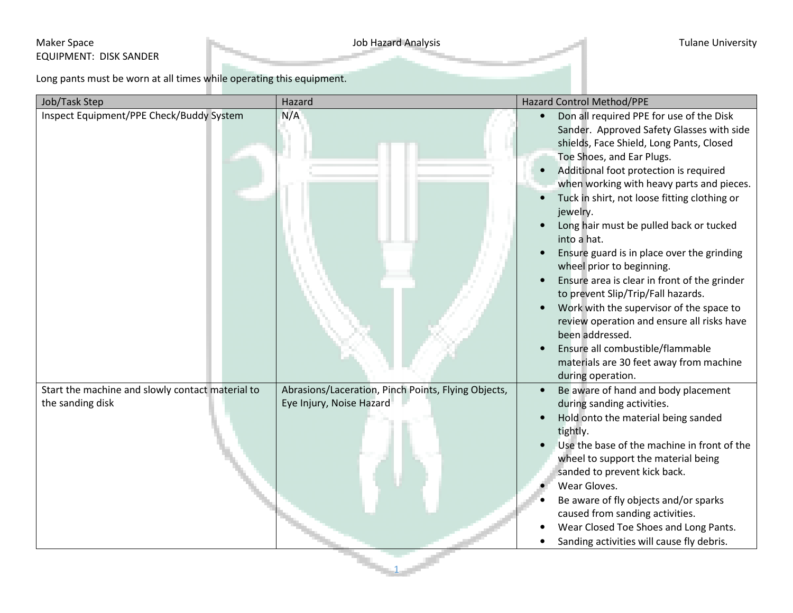## Maker Space **Maker Space** Tulane University EQUIPMENT: DISK SANDER

Long pants must be worn at all times while operating this equipment.

| Inspect Equipment/PPE Check/Buddy System<br>N/A<br>Don all required PPE for use of the Disk<br>$\bullet$<br>Sander. Approved Safety Glasses with side<br>shields, Face Shield, Long Pants, Closed<br>Toe Shoes, and Ear Plugs.<br>Additional foot protection is required<br>when working with heavy parts and pieces.<br>Tuck in shirt, not loose fitting clothing or<br>jewelry.<br>Long hair must be pulled back or tucked<br>into a hat.<br>Ensure guard is in place over the grinding<br>wheel prior to beginning.<br>Ensure area is clear in front of the grinder<br>to prevent Slip/Trip/Fall hazards.<br>Work with the supervisor of the space to<br>$\bullet$<br>review operation and ensure all risks have<br>been addressed.<br>Ensure all combustible/flammable<br>materials are 30 feet away from machine<br>during operation.<br>Start the machine and slowly contact material to<br>Abrasions/Laceration, Pinch Points, Flying Objects,<br>Be aware of hand and body placement<br>Eye Injury, Noise Hazard<br>the sanding disk<br>during sanding activities.<br>Hold onto the material being sanded<br>tightly.<br>Use the base of the machine in front of the<br>wheel to support the material being<br>sanded to prevent kick back.<br>Wear Gloves.<br>Be aware of fly objects and/or sparks<br>caused from sanding activities. | Job/Task Step | Hazard | Hazard Control Method/PPE             |
|-------------------------------------------------------------------------------------------------------------------------------------------------------------------------------------------------------------------------------------------------------------------------------------------------------------------------------------------------------------------------------------------------------------------------------------------------------------------------------------------------------------------------------------------------------------------------------------------------------------------------------------------------------------------------------------------------------------------------------------------------------------------------------------------------------------------------------------------------------------------------------------------------------------------------------------------------------------------------------------------------------------------------------------------------------------------------------------------------------------------------------------------------------------------------------------------------------------------------------------------------------------------------------------------------------------------------------------------------|---------------|--------|---------------------------------------|
|                                                                                                                                                                                                                                                                                                                                                                                                                                                                                                                                                                                                                                                                                                                                                                                                                                                                                                                                                                                                                                                                                                                                                                                                                                                                                                                                                 |               |        |                                       |
| Sanding activities will cause fly debris.                                                                                                                                                                                                                                                                                                                                                                                                                                                                                                                                                                                                                                                                                                                                                                                                                                                                                                                                                                                                                                                                                                                                                                                                                                                                                                       |               |        | Wear Closed Toe Shoes and Long Pants. |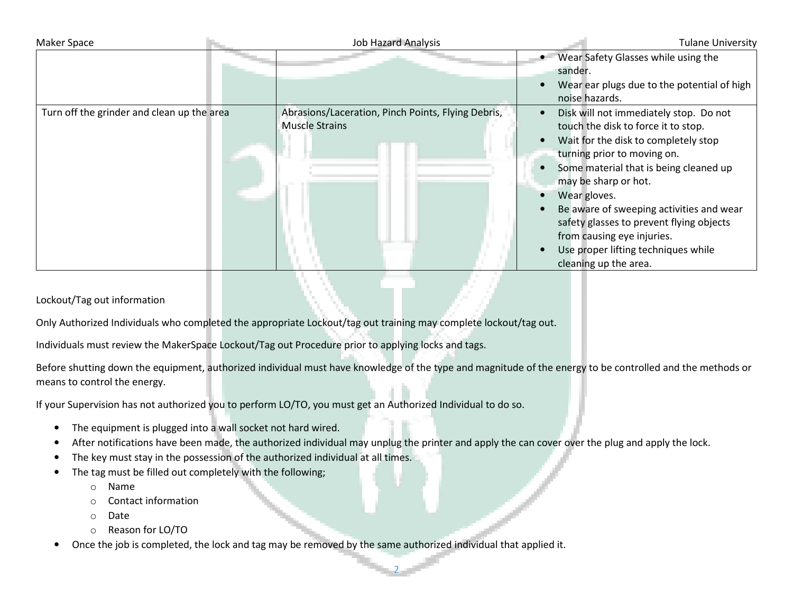| <b>Maker Space</b>                         | <b>Job Hazard Analysis</b>                                                  | <b>Tulane University</b>                                                                                                                                                                                                                                                                                                                                                                                                     |
|--------------------------------------------|-----------------------------------------------------------------------------|------------------------------------------------------------------------------------------------------------------------------------------------------------------------------------------------------------------------------------------------------------------------------------------------------------------------------------------------------------------------------------------------------------------------------|
|                                            |                                                                             | Wear Safety Glasses while using the<br>sander.                                                                                                                                                                                                                                                                                                                                                                               |
|                                            |                                                                             | Wear ear plugs due to the potential of high<br>noise hazards.                                                                                                                                                                                                                                                                                                                                                                |
| Turn off the grinder and clean up the area | Abrasions/Laceration, Pinch Points, Flying Debris,<br><b>Muscle Strains</b> | Disk will not immediately stop. Do not<br>touch the disk to force it to stop.<br>Wait for the disk to completely stop<br>turning prior to moving on.<br>Some material that is being cleaned up<br>may be sharp or hot.<br>Wear gloves.<br>Be aware of sweeping activities and wear<br>safety glasses to prevent flying objects<br>from causing eye injuries.<br>Use proper lifting techniques while<br>cleaning up the area. |

## Lockout/Tag out information

Only Authorized Individuals who completed the appropriate Lockout/tag out training may complete lockout/tag out.

Individuals must review the MakerSpace Lockout/Tag out Procedure prior to applying locks and tags.

Before shutting down the equipment, authorized individual must have knowledge of the type and magnitude of the energy to be controlled and the methods or means to control the energy.

If your Supervision has not authorized you to perform LO/TO, you must get an Authorized Individual to do so.

- •The equipment is plugged into a wall socket not hard wired.
- •After notifications have been made, the authorized individual may unplug the printer and apply the can cover over the plug and apply the lock.

2

- •The key must stay in the possession of the authorized individual at all times.
- • The tag must be filled out completely with the following;
	- oName
	- oContact information
	- oDate
	- oReason for LO/TO
- •Once the job is completed, the lock and tag may be removed by the same authorized individual that applied it.